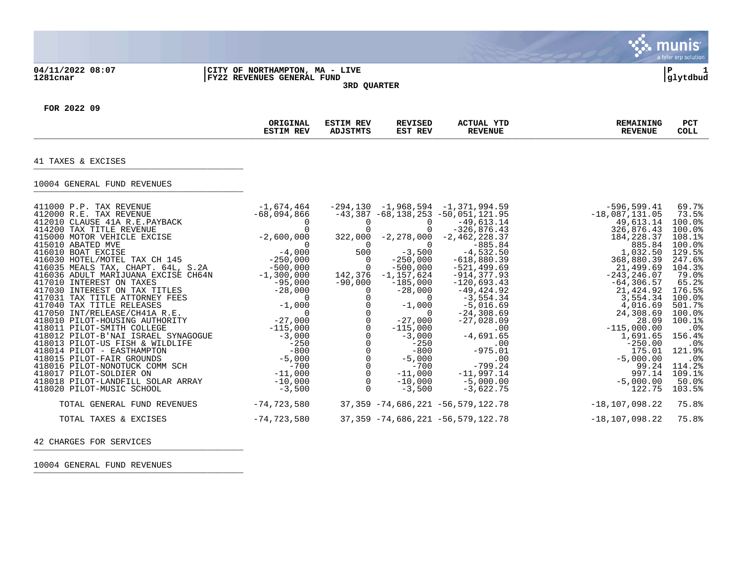## **04/11/2022 08:07 |CITY OF NORTHAMPTON, MA - LIVE |P 1 1281cnar |FY22 REVENUES GENERAL FUND |glytdbud 3RD QUARTER**



**्रैं: munis** 

**FOR 2022 09**

|                                                                                                                                                                                                                                                                                                                                                                                                                                                                                                                                                                                                                                                                                                                                                                                                           | ORIGINAL<br><b>ESTIM REV</b>                                                                                                                                                                                                                                   | <b>ESTIM REV</b><br><b>ADJSTMTS</b>                                                                                                                                                                                                     | <b>REVISED</b><br>EST REV                                                                                                                                                                                                                                                                      | <b>ACTUAL YTD</b><br><b>REVENUE</b>                                                                                                                                                                                                                                                                                                                                                                                                 | <b>REMAINING</b><br><b>REVENUE</b>                                                                                                                                                                                                                                                                                                      | <b>PCT</b><br><b>COLL</b>                                                                                                                                                                                                                                                    |
|-----------------------------------------------------------------------------------------------------------------------------------------------------------------------------------------------------------------------------------------------------------------------------------------------------------------------------------------------------------------------------------------------------------------------------------------------------------------------------------------------------------------------------------------------------------------------------------------------------------------------------------------------------------------------------------------------------------------------------------------------------------------------------------------------------------|----------------------------------------------------------------------------------------------------------------------------------------------------------------------------------------------------------------------------------------------------------------|-----------------------------------------------------------------------------------------------------------------------------------------------------------------------------------------------------------------------------------------|------------------------------------------------------------------------------------------------------------------------------------------------------------------------------------------------------------------------------------------------------------------------------------------------|-------------------------------------------------------------------------------------------------------------------------------------------------------------------------------------------------------------------------------------------------------------------------------------------------------------------------------------------------------------------------------------------------------------------------------------|-----------------------------------------------------------------------------------------------------------------------------------------------------------------------------------------------------------------------------------------------------------------------------------------------------------------------------------------|------------------------------------------------------------------------------------------------------------------------------------------------------------------------------------------------------------------------------------------------------------------------------|
| 41 TAXES & EXCISES                                                                                                                                                                                                                                                                                                                                                                                                                                                                                                                                                                                                                                                                                                                                                                                        |                                                                                                                                                                                                                                                                |                                                                                                                                                                                                                                         |                                                                                                                                                                                                                                                                                                |                                                                                                                                                                                                                                                                                                                                                                                                                                     |                                                                                                                                                                                                                                                                                                                                         |                                                                                                                                                                                                                                                                              |
| 10004 GENERAL FUND REVENUES                                                                                                                                                                                                                                                                                                                                                                                                                                                                                                                                                                                                                                                                                                                                                                               |                                                                                                                                                                                                                                                                |                                                                                                                                                                                                                                         |                                                                                                                                                                                                                                                                                                |                                                                                                                                                                                                                                                                                                                                                                                                                                     |                                                                                                                                                                                                                                                                                                                                         |                                                                                                                                                                                                                                                                              |
| 411000 P.P. TAX REVENUE<br>412000 R.E. TAX REVENUE<br>412010 CLAUSE 41A R.E. PAYBACK<br>414200 TAX TITLE REVENUE<br>415000 MOTOR VEHICLE EXCISE<br>415010 ABATED MVE<br>416010 BOAT EXCISE<br>416030 HOTEL/MOTEL TAX CH 145<br>416035 MEALS TAX, CHAPT. 64L, S.2A<br>416036 ADULT MARIJUANA EXCISE CH64N<br>417010 INTEREST ON TAXES<br>417030 INTEREST ON TAX TITLES<br>417031 TAX TITLE ATTORNEY FEES<br>417040 TAX TITLE RELEASES<br>417050 INT/RELEASE/CH41A R.E.<br>418010 PILOT-HOUSING AUTHORITY<br>418011 PILOT-SMITH COLLEGE<br>418012 PILOT-B'NAI ISRAEL SYNAGOGUE<br>418013 PILOT-US FISH & WILDLIFE<br>418014 PILOT - EASTHAMPTON<br>418015 PILOT-FAIR GROUNDS<br>418016 PILOT-NONOTUCK COMM SCH<br>418017 PILOT-SOLDIER ON<br>418018 PILOT-LANDFILL SOLAR ARRAY<br>418020 PILOT-MUSIC SCHOOL | -1,674,464<br>$-68, 0$<br>$-2, 600, 000$<br>$-4, 000$<br>$-250, 000$<br>$-250, 000$<br>$-95,000$<br>$-28,000$<br>$\Omega$<br>$-1,000$<br>$-27,000$<br>$-115,000$<br>$-3,000$<br>$-250$<br>$-800$<br>$-5,000$<br>$-700$<br>$-11$ ,000<br>$-10$ ,000<br>$-3,500$ | $\pmb{0}$<br>322,000<br>0<br>500<br>$\overline{0}$<br>$\overline{0}$<br>142,376<br>$-90,000$<br>$\Omega$<br>$\mathbf 0$<br>$\mathsf{O}$<br>$\begin{matrix} 0 \\ 0 \\ 0 \end{matrix}$<br>$\mathsf{O}$<br>0<br>$\overline{0}$<br>$\Omega$ | 0<br>$\mathbf 0$<br>-2,278,000<br>$\overline{0}$<br>$-3,500$<br>$-250,000$<br>$-500,000$<br>$-1,157,624$<br>$-185,000$<br>$-28,000$<br>$\Omega$<br>$-1,000$<br>$\Omega$<br>$-27,000$<br>$-115,000$<br>$-3,000$<br>$-250$<br>$-800$<br>$-5,000$<br>$-700$<br>$-11,000$<br>$-10,000$<br>$-3,500$ | $-294, 130 -1, 968, 594 -1, 371, 994.59$<br>$-43,387 -68,138,253 -50,051,121.95$<br>$-49,613.14$<br>$-326, 876.43$<br>$-2,462,228.37$<br>$-885.84$<br>$-4,532.50$<br>$-618,880.39$<br>$-521, 499.69$<br>$-914, 377.93$<br>$-120,693.43$<br>$-49, 424.92$<br>$-3,554.34$<br>$-5,016.69$<br>$-24, 308.69$<br>$-27,028.09$<br>.00<br>$-4,691.65$<br>.00<br>$-975.01$<br>.00<br>$-799.24$<br>$-11,997.14$<br>$-5,000.00$<br>$-3,622.75$ | -596,599.41<br>$-18,087,131.05$<br>49,613.14<br>326,876.43<br>184, 228.37<br>885.84<br>1,032.50<br>368,880.39<br>21,499.69<br>$-243, 246.07$<br>$-64, 306.57$<br>21,424.92<br>3,554.34<br>4,016.69<br>24,308.69<br>28.09<br>$-115,000.00$<br>1,691.65<br>$-250.00$<br>175.01<br>$-5,000.00$<br>99.24<br>997.14<br>$-5,000.00$<br>122.75 | 69.7%<br>73.5%<br>100.0%<br>100.0%<br>108.1%<br>100.0%<br>129.5%<br>247.6%<br>104.3%<br>79.0%<br>65.2%<br>176.5%<br>100.0%<br>501.7%<br>100.0%<br>100.1%<br>.0 <sup>8</sup><br>156.4%<br>.0 <sub>8</sub><br>121.9%<br>.0 <sub>8</sub><br>114.2%<br>109.1%<br>50.0%<br>103.5% |
| TOTAL GENERAL FUND REVENUES                                                                                                                                                                                                                                                                                                                                                                                                                                                                                                                                                                                                                                                                                                                                                                               | $-74, 723, 580$                                                                                                                                                                                                                                                |                                                                                                                                                                                                                                         |                                                                                                                                                                                                                                                                                                | $37,359 - 74,686,221 - 56,579,122.78$                                                                                                                                                                                                                                                                                                                                                                                               | $-18, 107, 098.22$                                                                                                                                                                                                                                                                                                                      | 75.8%                                                                                                                                                                                                                                                                        |
| TOTAL TAXES & EXCISES                                                                                                                                                                                                                                                                                                                                                                                                                                                                                                                                                                                                                                                                                                                                                                                     | $-74, 723, 580$                                                                                                                                                                                                                                                |                                                                                                                                                                                                                                         |                                                                                                                                                                                                                                                                                                | $37,359 -74,686,221 -56,579,122.78$                                                                                                                                                                                                                                                                                                                                                                                                 | $-18, 107, 098.22$                                                                                                                                                                                                                                                                                                                      | 75.8%                                                                                                                                                                                                                                                                        |

42 CHARGES FOR SERVICES

10004 GENERAL FUND REVENUES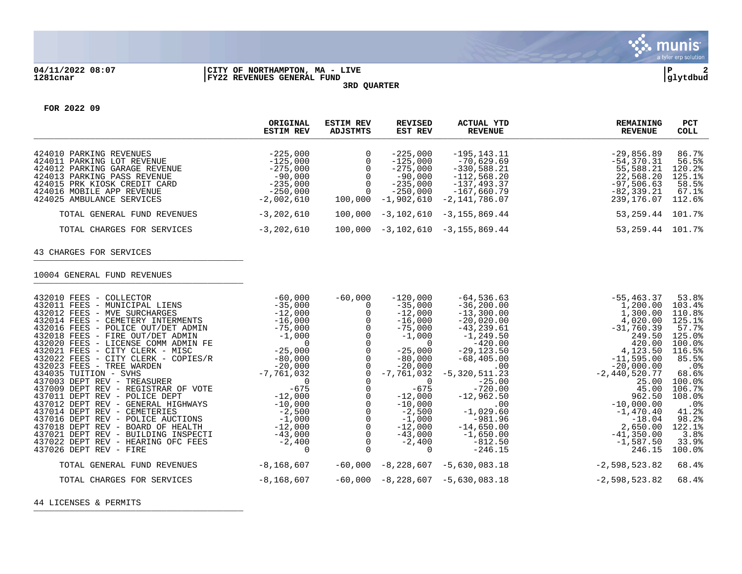

## **04/11/2022 08:07 |CITY OF NORTHAMPTON, MA - LIVE |P 2 1281cnar |FY22 REVENUES GENERAL FUND |glytdbud 3RD QUARTER**



**FOR 2022 09**

|                                                             | ORIGINAL<br><b>ESTIM REV</b> | <b>ESTIM REV</b><br>ADJSTMTS | REVISED<br>EST REV      | ACTUAL YTD<br>REVENUE        | <b>REMAINING</b><br><b>REVENUE</b> | PCT<br>COLL     |
|-------------------------------------------------------------|------------------------------|------------------------------|-------------------------|------------------------------|------------------------------------|-----------------|
| 424010 PARKING REVENUES                                     | $-225,000$                   |                              | $-225.000$              | $-195.143.11$                | $-29.856.89$                       | 86.7%           |
| 424011 PARKING LOT REVENUE                                  | $-125,000$                   |                              | $-125.000$              | $-70.629.69$                 | $-54.370.31$                       | 56.5%           |
| 424012 PARKING GARAGE REVENUE                               | $-275,000$                   |                              | $-275.000$              | $-330,588.21$                | 55,588.21                          | 120.2%          |
| 424013 PARKING PASS REVENUE<br>424015 PRK KIOSK CREDIT CARD | $-90.000$<br>$-235,000$      |                              | $-90.000$<br>$-235.000$ | $-112,568.20$<br>-137,493.37 | 22,568.20<br>$-97,506.63$          | 125.1%<br>58.5% |
| 424016 MOBILE APP REVENUE                                   | $-250.000$                   |                              | $-250.000$              | -167,660.79                  | $-82, 339, 21$                     | 67.1%           |
| 424025 AMBULANCE SERVICES                                   | $-2,002,610$                 | 100,000                      | $-1,902,610$            | $-2,141,786.07$              | 239,176.07                         | 112.6%          |
| TOTAL GENERAL FUND REVENUES                                 | $-3,202,610$                 | 100,000                      | $-3,102,610$            | $-3, 155, 869.44$            | 53,259.44                          | 101.7%          |
| TOTAL CHARGES FOR SERVICES                                  | $-3,202,610$                 | 100,000                      | -3,102,610              | -3,155,869.44                | 53,259.44                          | 101.7%          |

43 CHARGES FOR SERVICES

10004 GENERAL FUND REVENUES

| 432010 FEES - COLLECTOR             | $-60,000$      | $-60,000$ | $-120,000$ | $-64, 536.63$                    | $-55, 463.37$   | 53.8%                |
|-------------------------------------|----------------|-----------|------------|----------------------------------|-----------------|----------------------|
| 432011 FEES - MUNICIPAL LIENS       | $-35,000$      |           | $-35,000$  | $-36, 200.00$                    | 1,200.00        | 103.4%               |
| 432012 FEES - MVE SURCHARGES        | $-12,000$      |           | $-12,000$  | $-13,300.00$                     | 1,300.00        | 110.8%               |
| 432014 FEES - CEMETERY INTERMENTS   | $-16,000$      |           | $-16,000$  | $-20,020.00$                     | 4,020.00        | 125.1%               |
| 432016 FEES - POLICE OUT/DET ADMIN  | $-75,000$      |           | $-75,000$  | $-43, 239.61$                    | $-31,760.39$    | 57.7%                |
| 432018 FEES - FIRE OUT/DET ADMIN    | $-1,000$       |           | $-1,000$   | $-1, 249.50$                     | 249.50          | 125.0%               |
| 432020 FEES - LICENSE COMM ADMIN FE |                |           |            | $-420.00$                        | 420.00          | $100.0$ %            |
| 432021 FEES - CITY CLERK - MISC     | $-25,000$      |           | $-25,000$  | $-29, 123.50$                    | 4,123.50        | 116.5%               |
| 432022 FEES - CITY CLERK - COPIES/R | $-80,000$      |           | $-80,000$  | $-68,405.00$                     | $-11,595.00$    | 85.5%                |
| 432023 FEES - TREE WARDEN           | $-20,000$      |           | $-20,000$  | .00                              | $-20,000.00$    | $.0\%$               |
| 434035 TUITION - SVHS               | -7,761,032     |           |            | $-7, 761, 032 - 5, 320, 511, 23$ | $-2,440,520.77$ | 68.6%                |
| 437003 DEPT REV - TREASURER         |                |           |            | $-25.00$                         | 25.00           | $100.0$ <sup>8</sup> |
| 437009 DEPT REV - REGISTRAR OF VOTE | $-675$         |           | $-675$     | $-720.00$                        | 45.00           | 106.7%               |
| 437011 DEPT REV - POLICE DEPT       | $-12,000$      |           | $-12,000$  | $-12,962.50$                     | 962.50          | 108.0%               |
| 437012 DEPT REV - GENERAL HIGHWAYS  | $-10,000$      |           | $-10,000$  | .00                              | $-10,000.00$    | $.0\%$               |
| 437014 DEPT REV - CEMETERIES        | $-2,500$       |           | $-2,500$   | $-1,029.60$                      | $-1,470.40$     | 41.2%                |
| 437016 DEPT REV - POLICE AUCTIONS   | $-1,000$       |           | $-1,000$   | $-981.96$                        | $-18.04$        | 98.2%                |
| 437018 DEPT REV - BOARD OF HEALTH   | $-12,000$      |           | $-12,000$  | $-14,650.00$                     | 2,650.00        | 122.1%               |
| 437021 DEPT REV - BUILDING INSPECTI | $-43,000$      |           | $-43,000$  | $-1,650.00$                      | $-41,350.00$    | 3.8%                 |
| 437022 DEPT REV - HEARING OFC FEES  | $-2,400$       |           | $-2,400$   | $-812.50$                        | $-1,587.50$     | 33.9%                |
| $437026$ DEPT REV - FIRE            |                |           |            | $-246.15$                        | 246.15          | 100.0%               |
| TOTAL GENERAL FUND REVENUES         | $-8, 168, 607$ | $-60,000$ | -8,228,607 | $-5,630,083.18$                  | $-2,598,523.82$ | 68.4%                |
|                                     |                |           |            |                                  |                 |                      |
| TOTAL CHARGES FOR SERVICES          | $-8, 168, 607$ | $-60,000$ |            | $-8, 228, 607 - 5, 630, 083.18$  | $-2,598,523.82$ | 68.4%                |
|                                     |                |           |            |                                  |                 |                      |

44 LICENSES & PERMITS \_\_\_\_\_\_\_\_\_\_\_\_\_\_\_\_\_\_\_\_\_\_\_\_\_\_\_\_\_\_\_\_\_\_\_\_\_\_\_\_\_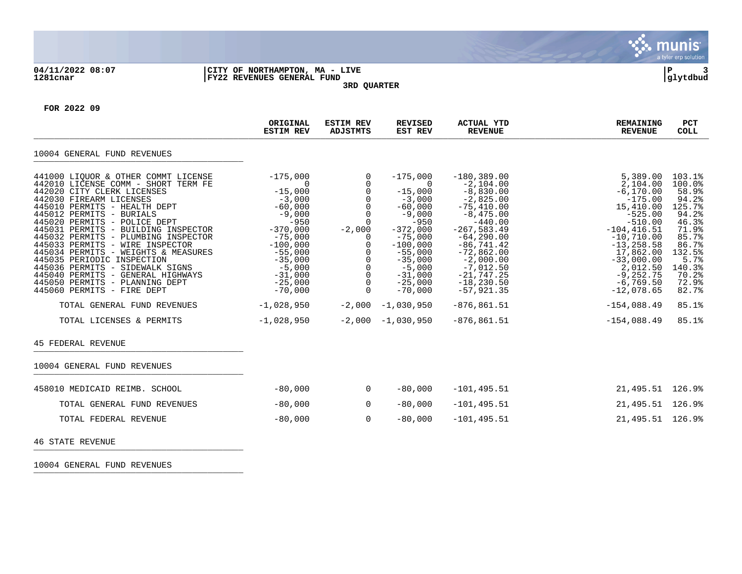

## **04/11/2022 08:07 |CITY OF NORTHAMPTON, MA - LIVE |P 3 1281cnar |FY22 REVENUES GENERAL FUND |glytdbud 3RD QUARTER**



**FOR 2022 09**

|                                                                                                                                                                                                                                                                                                                                                                                                                                                                                                                                                                                                                          | ORIGINAL<br><b>ESTIM REV</b>                                                                                                                                                                                                             | <b>ESTIM REV</b><br><b>ADJSTMTS</b>                                                                                                                                                           | <b>REVISED</b><br>EST REV                                                                                                                                                                                                                      | <b>ACTUAL YTD</b><br><b>REVENUE</b>                                                                                                                                                                                                                                                           | <b>REMAINING</b><br><b>REVENUE</b>                                                                                                                                                                                                                                    | <b>PCT</b><br><b>COLL</b>                                                                                                                                          |
|--------------------------------------------------------------------------------------------------------------------------------------------------------------------------------------------------------------------------------------------------------------------------------------------------------------------------------------------------------------------------------------------------------------------------------------------------------------------------------------------------------------------------------------------------------------------------------------------------------------------------|------------------------------------------------------------------------------------------------------------------------------------------------------------------------------------------------------------------------------------------|-----------------------------------------------------------------------------------------------------------------------------------------------------------------------------------------------|------------------------------------------------------------------------------------------------------------------------------------------------------------------------------------------------------------------------------------------------|-----------------------------------------------------------------------------------------------------------------------------------------------------------------------------------------------------------------------------------------------------------------------------------------------|-----------------------------------------------------------------------------------------------------------------------------------------------------------------------------------------------------------------------------------------------------------------------|--------------------------------------------------------------------------------------------------------------------------------------------------------------------|
| 10004 GENERAL FUND REVENUES                                                                                                                                                                                                                                                                                                                                                                                                                                                                                                                                                                                              |                                                                                                                                                                                                                                          |                                                                                                                                                                                               |                                                                                                                                                                                                                                                |                                                                                                                                                                                                                                                                                               |                                                                                                                                                                                                                                                                       |                                                                                                                                                                    |
| 441000 LIOUOR & OTHER COMMT LICENSE<br>442010 LICENSE COMM - SHORT TERM FE<br>442020 CITY CLERK LICENSES<br>442030 FIREARM LICENSES<br>445010 PERMITS - HEALTH DEPT<br>445012 PERMITS - BURIALS<br>445020 PERMITS - POLICE DEPT<br>445031 PERMITS - BUILDING INSPECTOR<br>445032 PERMITS - PLUMBING INSPECTOR<br>445033 PERMITS - WIRE INSPECTOR<br>445034 PERMITS - WEIGHTS & MEASURES<br>445035 PERIODIC INSPECTION<br>445036 PERMITS - SIDEWALK SIGNS<br>445040 PERMITS - GENERAL HIGHWAYS<br>445050 PERMITS - PLANNING DEPT<br>445060 PERMITS - FIRE DEPT<br>TOTAL GENERAL FUND REVENUES<br>TOTAL LICENSES & PERMITS | $-175,000$<br>$\Omega$<br>$-15,000$<br>$-3,000$<br>$-60,000$<br>$-9,000$<br>$-950$<br>$-370,000$<br>$-75,000$<br>$-100,000$<br>$-55,000$<br>$-35,000$<br>$-5,000$<br>$-31,000$<br>$-25,000$<br>$-70,000$<br>$-1,028,950$<br>$-1,028,950$ | $\mathbf 0$<br>$\mathbf{0}$<br>0<br>$\mathbf 0$<br>$\mathbf 0$<br>$\mathbf 0$<br>$\Omega$<br>$-2,000$<br>0<br>0<br>0<br>$\mathbf 0$<br>0<br>$\Omega$<br>0<br>$\Omega$<br>$-2,000$<br>$-2,000$ | $-175,000$<br>$\overline{0}$<br>$-15,000$<br>$-3,000$<br>$-60,000$<br>$-9,000$<br>$-950$<br>$-372,000$<br>$-75,000$<br>$-100,000$<br>$-55,000$<br>$-35,000$<br>$-5,000$<br>$-31,000$<br>$-25,000$<br>$-70,000$<br>$-1,030,950$<br>$-1,030,950$ | $-180, 389.00$<br>$-2,104.00$<br>$-8,830.00$<br>$-2,825.00$<br>$-75,410.00$<br>$-8,475.00$<br>$-440.00$<br>$-267,583.49$<br>$-64, 290.00$<br>$-86, 741.42$<br>$-72,862.00$<br>$-2,000.00$<br>$-7,012.50$<br>$-21,747.25$<br>$-18, 230.50$<br>$-57,921.35$<br>$-876, 861.51$<br>$-876, 861.51$ | 5,389.00<br>2,104.00<br>$-6, 170.00$<br>$-175.00$<br>15,410.00<br>$-525.00$<br>$-510.00$<br>$-104, 416.51$<br>$-10,710.00$<br>$-13, 258.58$<br>17,862.00<br>$-33,000.00$<br>2,012.50<br>$-9, 252.75$<br>$-6,769.50$<br>$-12,078.65$<br>$-154,088.49$<br>$-154,088.49$ | 103.1%<br>100.0%<br>58.9%<br>94.2%<br>125.7%<br>94.2%<br>46.3%<br>71.9%<br>85.7%<br>86.7%<br>132.5%<br>5.7%<br>140.3%<br>70.2%<br>72.9%<br>82.7%<br>85.1%<br>85.1% |
| <b>45 FEDERAL REVENUE</b>                                                                                                                                                                                                                                                                                                                                                                                                                                                                                                                                                                                                |                                                                                                                                                                                                                                          |                                                                                                                                                                                               |                                                                                                                                                                                                                                                |                                                                                                                                                                                                                                                                                               |                                                                                                                                                                                                                                                                       |                                                                                                                                                                    |
| 10004 GENERAL FUND REVENUES                                                                                                                                                                                                                                                                                                                                                                                                                                                                                                                                                                                              |                                                                                                                                                                                                                                          |                                                                                                                                                                                               |                                                                                                                                                                                                                                                |                                                                                                                                                                                                                                                                                               |                                                                                                                                                                                                                                                                       |                                                                                                                                                                    |
| 458010 MEDICAID REIMB. SCHOOL                                                                                                                                                                                                                                                                                                                                                                                                                                                                                                                                                                                            | $-80,000$                                                                                                                                                                                                                                | $\overline{0}$                                                                                                                                                                                | $-80,000$                                                                                                                                                                                                                                      | $-101, 495.51$                                                                                                                                                                                                                                                                                | 21, 495.51 126.9%                                                                                                                                                                                                                                                     |                                                                                                                                                                    |
| TOTAL GENERAL FUND REVENUES                                                                                                                                                                                                                                                                                                                                                                                                                                                                                                                                                                                              | $-80,000$                                                                                                                                                                                                                                | $\overline{0}$                                                                                                                                                                                | $-80,000$                                                                                                                                                                                                                                      | $-101, 495.51$                                                                                                                                                                                                                                                                                | 21, 495.51 126.9%                                                                                                                                                                                                                                                     |                                                                                                                                                                    |
| TOTAL FEDERAL REVENUE                                                                                                                                                                                                                                                                                                                                                                                                                                                                                                                                                                                                    | $-80,000$                                                                                                                                                                                                                                | $\overline{0}$                                                                                                                                                                                | $-80,000$                                                                                                                                                                                                                                      | $-101, 495.51$                                                                                                                                                                                                                                                                                | 21, 495.51 126.9%                                                                                                                                                                                                                                                     |                                                                                                                                                                    |
| 46 STATE REVENUE                                                                                                                                                                                                                                                                                                                                                                                                                                                                                                                                                                                                         |                                                                                                                                                                                                                                          |                                                                                                                                                                                               |                                                                                                                                                                                                                                                |                                                                                                                                                                                                                                                                                               |                                                                                                                                                                                                                                                                       |                                                                                                                                                                    |

10004 GENERAL FUND REVENUES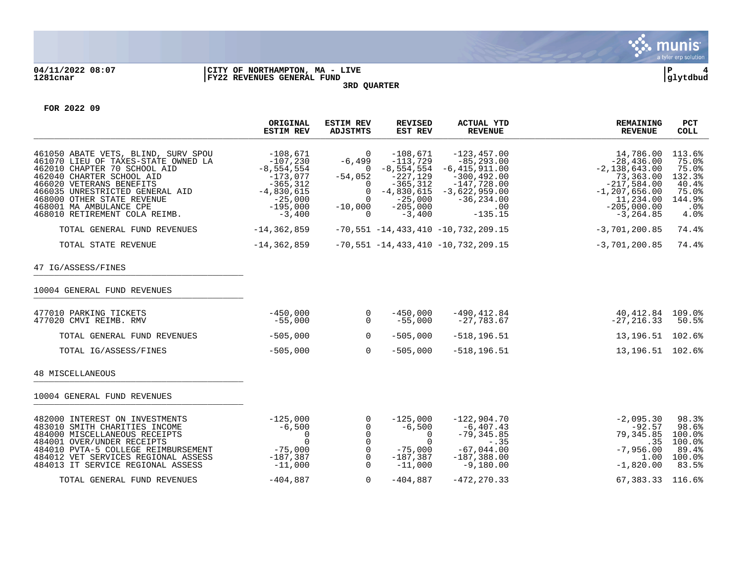

## **04/11/2022 08:07 |CITY OF NORTHAMPTON, MA - LIVE |P 4 1281cnar |FY22 REVENUES GENERAL FUND |glytdbud 3RD QUARTER**



**FOR 2022 09**

|                                                                                                                                                                                                                                                                                                  | ORIGINAL<br><b>ESTIM REV</b>                                                                                                 | <b>ESTIM REV</b><br><b>ADJSTMTS</b>                                                                          | <b>REVISED</b><br>EST REV                                                                                                      | <b>ACTUAL YTD</b><br><b>REVENUE</b>                                                                                                             | <b>REMAINING</b><br><b>REVENUE</b>                                                                                                            | PCT<br><b>COLL</b>                                                            |
|--------------------------------------------------------------------------------------------------------------------------------------------------------------------------------------------------------------------------------------------------------------------------------------------------|------------------------------------------------------------------------------------------------------------------------------|--------------------------------------------------------------------------------------------------------------|--------------------------------------------------------------------------------------------------------------------------------|-------------------------------------------------------------------------------------------------------------------------------------------------|-----------------------------------------------------------------------------------------------------------------------------------------------|-------------------------------------------------------------------------------|
| 461050 ABATE VETS, BLIND, SURV SPOU<br>461070 LIEU OF TAXES-STATE OWNED LA<br>462010 CHAPTER 70 SCHOOL AID<br>462040 CHARTER SCHOOL AID<br>466020 VETERANS BENEFITS<br>466035 UNRESTRICTED GENERAL AID<br>468000 OTHER STATE REVENUE<br>468001 MA AMBULANCE CPE<br>468010 RETIREMENT COLA REIMB. | $-108,671$<br>$-107,230$<br>$-8,554,554$<br>$-173.077$<br>$-365, 312$<br>$-4,830,615$<br>$-25,000$<br>$-195,000$<br>$-3,400$ | $\mathbf 0$<br>$-6,499$<br>0<br>$-54,052$<br>$\Omega$<br>$\mathbf 0$<br>$\Omega$<br>$-10,000$<br>$\mathbf 0$ | $-108,671$<br>$-113,729$<br>$-8, 554, 554$<br>$-227,129$<br>$-365, 312$<br>$-4,830,615$<br>$-25,000$<br>$-205,000$<br>$-3,400$ | $-123, 457.00$<br>$-85, 293, 00$<br>$-6,415,911.00$<br>$-300, 492, 00$<br>$-147,728.00$<br>$-3,622,959.00$<br>$-36, 234.00$<br>.00<br>$-135.15$ | 14,786.00<br>$-28,436.00$<br>$-2,138,643.00$<br>73,363.00<br>$-217,584.00$<br>$-1, 207, 656.00$<br>11,234.00<br>$-205,000.00$<br>$-3, 264.85$ | 113.6%<br>75.0%<br>75.0%<br>132.3%<br>40.4%<br>75.0%<br>144.9%<br>.0%<br>4.0% |
| TOTAL GENERAL FUND REVENUES                                                                                                                                                                                                                                                                      | -14,362,859                                                                                                                  |                                                                                                              |                                                                                                                                | $-70,551 -14,433,410 -10,732,209.15$                                                                                                            | $-3,701,200.85$                                                                                                                               | 74.4%                                                                         |
| TOTAL STATE REVENUE                                                                                                                                                                                                                                                                              | $-14, 362, 859$                                                                                                              |                                                                                                              |                                                                                                                                | $-70,551 - 14,433,410 - 10,732,209.15$                                                                                                          | $-3,701,200.85$                                                                                                                               | 74.4%                                                                         |
| 47 IG/ASSESS/FINES                                                                                                                                                                                                                                                                               |                                                                                                                              |                                                                                                              |                                                                                                                                |                                                                                                                                                 |                                                                                                                                               |                                                                               |
| 10004 GENERAL FUND REVENUES                                                                                                                                                                                                                                                                      |                                                                                                                              |                                                                                                              |                                                                                                                                |                                                                                                                                                 |                                                                                                                                               |                                                                               |
| 477010 PARKING TICKETS<br>477020 CMVI REIMB. RMV                                                                                                                                                                                                                                                 | $-450,000$<br>$-55,000$                                                                                                      | $\overline{0}$<br>$\Omega$                                                                                   | $-450.000$<br>$-55,000$                                                                                                        | $-490, 412.84$<br>$-27,783.67$                                                                                                                  | 40, 412.84 109.0%<br>$-27, 216.33$                                                                                                            | 50.5%                                                                         |
| TOTAL GENERAL FUND REVENUES                                                                                                                                                                                                                                                                      | $-505,000$                                                                                                                   | $\overline{0}$                                                                                               | $-505,000$                                                                                                                     | $-518, 196.51$                                                                                                                                  | 13, 196. 51 102. 6%                                                                                                                           |                                                                               |
| TOTAL IG/ASSESS/FINES                                                                                                                                                                                                                                                                            | $-505,000$                                                                                                                   | $\Omega$                                                                                                     | $-505,000$                                                                                                                     | $-518, 196.51$                                                                                                                                  | 13, 196. 51 102. 6%                                                                                                                           |                                                                               |
| 48 MISCELLANEOUS                                                                                                                                                                                                                                                                                 |                                                                                                                              |                                                                                                              |                                                                                                                                |                                                                                                                                                 |                                                                                                                                               |                                                                               |
| 10004 GENERAL FUND REVENUES                                                                                                                                                                                                                                                                      |                                                                                                                              |                                                                                                              |                                                                                                                                |                                                                                                                                                 |                                                                                                                                               |                                                                               |
| 482000 INTEREST ON INVESTMENTS<br>483010 SMITH CHARITIES INCOME<br>484000 MISCELLANEOUS RECEIPTS<br>484001 OVER/UNDER RECEIPTS<br>484010 PVTA-5 COLLEGE REIMBURSEMENT<br>484012 VET SERVICES REGIONAL ASSESS<br>484013 IT SERVICE REGIONAL ASSESS                                                | $-125,000$<br>$-6.500$<br>0<br>$\Omega$<br>$-75,000$<br>$-187,387$<br>$-11,000$                                              | 0<br>$\overline{0}$<br>$\mathbf 0$<br>$\overline{0}$<br>$\mathbf 0$<br>$\mathbf 0$<br>$\Omega$               | $-125,000$<br>$-6,500$<br>$\overline{0}$<br>$\Omega$<br>$-75,000$<br>$-187,387$<br>$-11,000$                                   | $-122,904.70$<br>$-6,407.43$<br>$-79, 345.85$<br>$-.35$<br>$-67,044.00$<br>$-187, 388.00$<br>$-9,180.00$                                        | $-2,095.30$<br>$-92.57$<br>79,345.85<br>.35<br>$-7,956.00$<br>1.00<br>$-1,820.00$                                                             | 98.3%<br>98.6%<br>100.0%<br>100.0%<br>89.4%<br>100.0%<br>83.5%                |
| TOTAL GENERAL FUND REVENUES                                                                                                                                                                                                                                                                      | $-404.887$                                                                                                                   | $\mathbf 0$                                                                                                  | $-404.887$                                                                                                                     | $-472.270.33$                                                                                                                                   | 67.383.33 116.6%                                                                                                                              |                                                                               |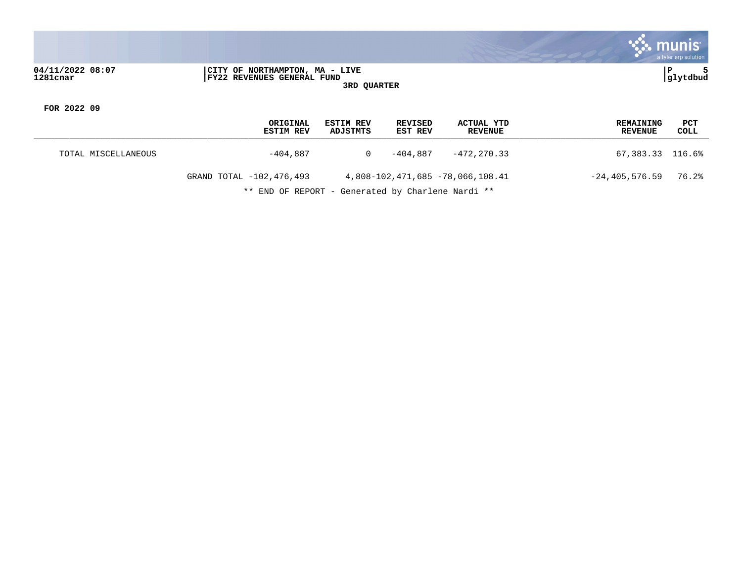

**04/11/2022 08:07 |CITY OF NORTHAMPTON, MA - LIVE |P 5 1281cnar |FY22 REVENUES GENERAL FUND |glytdbud 3RD QUARTER**

**FOR 2022 09**

|                     | ORIGINAL<br><b>ESTIM REV</b> | <b>ESTIM REV</b><br>ADJSTMTS | REVISED<br>EST REV | ACTUAL YTD<br>REVENUE            | <b>REMAINING</b><br><b>REVENUE</b> | PCT<br>COLL |
|---------------------|------------------------------|------------------------------|--------------------|----------------------------------|------------------------------------|-------------|
| TOTAL MISCELLANEOUS | -404.887                     |                              | -404.887           | $-472.270.33$                    | 67,383.33 116.6%                   |             |
|                     | GRAND TOTAL -102,476,493     |                              |                    | 4,808-102,471,685 -78,066,108.41 | $-24, 405, 576.59$                 | 76.2%       |

\*\* END OF REPORT - Generated by Charlene Nardi \*\*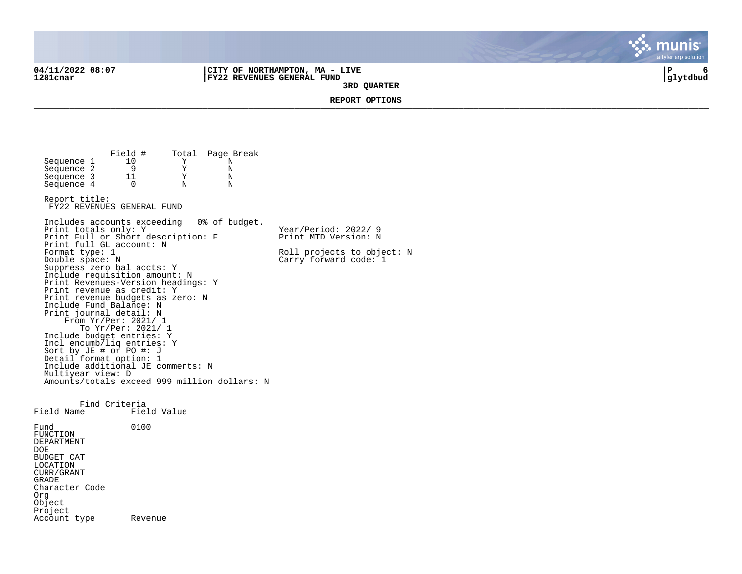Account type Revenue

**04/11/2022 08:07 |CITY OF NORTHAMPTON, MA - LIVE |P 6 1281cnar |FY22 REVENUES GENERAL FUND |glytdbud 3RD QUARTER**



**REPORT OPTIONS**  \_\_\_\_\_\_\_\_\_\_\_\_\_\_\_\_\_\_\_\_\_\_\_\_\_\_\_\_\_\_\_\_\_\_\_\_\_\_\_\_\_\_\_\_\_\_\_\_\_\_\_\_\_\_\_\_\_\_\_\_\_\_\_\_\_\_\_\_\_\_\_\_\_\_\_\_\_\_\_\_\_\_\_\_\_\_\_\_\_\_\_\_\_\_\_\_\_\_\_\_\_\_\_\_\_\_\_\_\_\_\_\_\_\_\_\_\_\_\_\_\_\_\_\_\_\_\_\_\_\_\_\_

Field # Total Page Break<br>10 Y N Sequence 1 10 Y N<br>Sequence 2 9 Y N Sequence 2 9 9 Y N<br>Sequence 3 11 Y N Sequence 3 11 Y N<br>Sequence 4 0 N N  $Sequence 4$ Report title: FY22 REVENUES GENERAL FUND Includes accounts exceeding 0% of budget. Print totals only: Y Y Year/Period: 2022/ 9 Print Full or Short description: F Print MTD Version: N Print full GL account: N<br>Format type: 1 Format type: 1 Roll projects to object: N<br>
Double space: N<br>
Carry forward code: 1  $Carry$  forward code:  $1$ Suppress zero bal accts: Y Include requisition amount: N Print Revenues-Version headings: Y Print revenue as credit: Y Print revenue budgets as zero: N Include Fund Balance: N Print journal detail: N From Yr/Per: 2021/ 1 To Yr/Per: 2021/ 1 Include budget entries: Y Incl encumb/liq entries: Y Sort by JE # or PO #: J Detail format option: 1 Include additional JE comments: N Multiyear view: D Amounts/totals exceed 999 million dollars: N Find Criteria<br>Field Name Fiel Field Value Fund 0100 FUNCTION DEPARTMENT DOE BUDGET CAT LOCATION CURR/GRANT GRADE Character Code Org Object Project